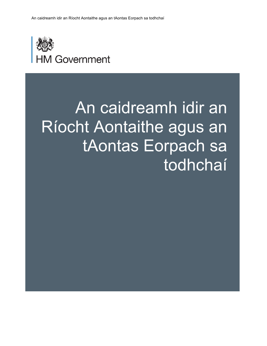

# An caidreamh idir an Ríocht Aontaithe agus an tAontas Eorpach sa todhchaí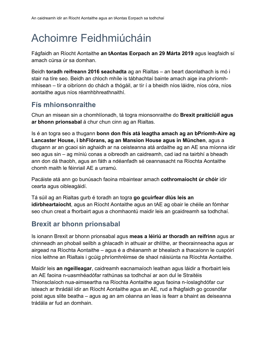# Achoimre Feidhmiúcháin

Fágfaidh an Ríocht Aontaithe **an tAontas Eorpach an 29 Márta 2019** agus leagfaidh sí amach cúrsa úr sa domhan.

Beidh **toradh reifreann 2016 seachadta** ag an Rialtas – an beart daonlathach is mó i stair na tíre seo. Beidh an chloch mhíle is tábhachtaí bainte amach aige ina phríomhmhisean – tír a oibríonn do chách a thógáil, ar tír í a bheidh níos láidre, níos córa, níos aontaithe agus níos réamhbhreathnaithí.

# **Fís mhionsonraithe**

Chun an misean sin a chomhlíonadh, tá togra mionsonraithe do **Brexit praiticiúil agus ar bhonn prionsabal** á chur chun cinn ag an Rialtas.

Is é an togra seo a thugann **bonn don fhís atá leagtha amach ag an bPríomh-Aire ag Lancaster House, i bhFlórans, ag an Mansion House agus in München**, agus a dtugann ar an gcaoi sin aghaidh ar na ceisteanna atá ardaithe ag an AE sna míonna idir seo agus sin – ag míniú conas a oibreodh an caidreamh, cad iad na tairbhí a bheadh ann don dá thaobh, agus an fáth a ndéanfadh sé ceannasacht na Ríochta Aontaithe chomh maith le féinriail AE a urramú.

Pacáiste atá ann go bunúsach faoina mbaintear amach **cothromaíocht úr chóir** idir cearta agus oibleagáidí.

Tá súil ag an Rialtas gurb é toradh an togra **go gcuirfear dlús leis an idirbheartaíocht**, agus an Ríocht Aontaithe agus an tAE ag obair le chéile an fómhar seo chun creat a fhorbairt agus a chomhaontú maidir leis an gcaidreamh sa todhchaí.

## **Brexit ar bhonn prionsabal**

Is ionann Brexit ar bhonn prionsabal agus **meas a léiriú ar thoradh an reifrinn** agus ar chinneadh an phobail seilbh a ghlacadh in athuair ar dhlíthe, ar theorainneacha agus ar airgead na Ríochta Aontaithe – agus é a dhéanamh ar bhealach a thacaíonn le cuspóirí níos leithne an Rialtais i gcúig phríomhréimse de shaol náisiúnta na Ríochta Aontaithe.

Maidir leis **an ngeilleagar**, caidreamh eacnamaíoch leathan agus láidir a fhorbairt leis an AE faoina n-uasmhéadófar rathúnas sa todhchaí ar aon dul le Straitéis Thionsclaíoch nua-aimseartha na Ríochta Aontaithe agus faoina n-íoslaghdófar cur isteach ar thrádáil idir an Ríocht Aontaithe agus an AE, rud a fhágfaidh go gcosnófar poist agus slite beatha – agus ag an am céanna an leas is fearr a bhaint as deiseanna trádála ar fud an domhain.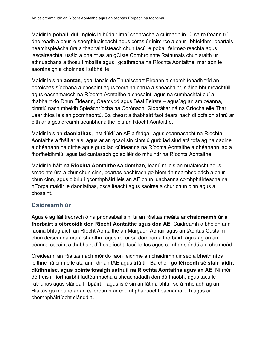Maidir le **pobail**, dul i ngleic le húdair imní shonracha a cuireadh in iúl sa reifreann trí dheireadh a chur le saorghluaiseacht agus córas úr inimirce a chur i bhfeidhm, beartais neamhspleácha úra a thabhairt isteach chun tacú le pobail feirmeoireachta agus iascaireachta, úsáid a bhaint as an gCiste Comhroinnte Rathúnais chun sraith úr athnuachana a thosú i mbailte agus i gcathracha na Ríochta Aontaithe, mar aon le saoránaigh a choinneáil sábháilte.

Maidir leis an **aontas**, gealltanais do Thuaisceart Éireann a chomhlíonadh tríd an bpróiseas síochána a chosaint agus teorainn chrua a sheachaint, sláine bhunreachtúil agus eacnamaíoch na Ríochta Aontaithe a chosaint, agus na cumhachtaí cuí a thabhairt do Dhún Éideann, Caerdydd agus Béal Feirste – agus`ag an am céanna, cinntiú nach mbeidh Spleáchríocha na Corónach, Giobráltar ná na Críocha eile Thar Lear thíos leis an gcomhaontú. Ba cheart a thabhairt faoi deara nach dtiocfaidh athrú ar bith ar a gcaidreamh seanbhunaithe leis an Ríocht Aontaithe.

Maidir leis an **daonlathas**, institiúidí an AE a fhágáil agus ceannasacht na Ríochta Aontaithe a fháil ar ais, agus ar an gcaoi sin cinntiú gurb iad siúd atá tofa ag na daoine a dhéanann na dlíthe agus gurb iad cúirteanna na Ríochta Aontaithe a dhéanann iad a fhorfheidhmiú, agus iad cuntasach go soiléir do mhuintir na Ríochta Aontaithe.

Maidir le **háit na Ríochta Aontaithe sa domhan**, leanúint leis an nuálaíocht agus smaointe úra a chur chun cinn, beartas eachtrach go hiomlán neamhspleách a chur chun cinn, agus oibriú i gcomhpháirt leis an AE chun luachanna comhpháirteacha na hEorpa maidir le daonlathas, oscailteacht agus saoirse a chur chun cinn agus a chosaint.

#### **Caidreamh úr**

Agus é ag fáil treorach ó na prionsabail sin, tá an Rialtas meáite ar **chaidreamh úr a fhorbairt a oibreoidh don Ríocht Aontaithe agus don AE**. Caidreamh a bheidh ann faoina bhfágfaidh an Ríocht Aontaithe an Margadh Aonair agus an tAontas Custaim chun deiseanna úra a shaothrú agus ról úr sa domhan a fhorbairt, agus ag an am céanna cosaint a thabhairt d'fhostaíocht, tacú le fás agus comhar slándála a choimeád.

Creideann an Rialtas nach mór do raon feidhme an chaidrimh úir seo a bheith níos leithne ná cinn eile atá ann idir an tAE agus tríú tír. Ba chóir **go léireodh sé stair láidir, dlúthnaisc, agus pointe tosaigh uathúil na Ríochta Aontaithe agus an AE**. Ní mór dó freisin fíorthairbhí fadtéarmacha a sheachadadh don dá thaobh, agus tacú le rathúnas agus slándáil i bpáirt – agus is é sin an fáth a bhfuil sé á mholadh ag an Rialtas go mbunófar an caidreamh ar chomhpháirtíocht eacnamaíoch agus ar chomhpháirtíocht slándála.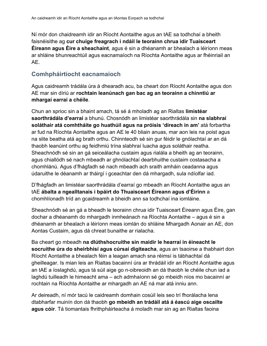Ní mór don chaidreamh idir an Ríocht Aontaithe agus an tAE sa todhchaí a bheith faisnéisithe ag **cur chuige freagrach i ndáil le teorainn chrua idir Tuaisceart Éireann agus Éire a sheachaint**, agus é sin a dhéanamh ar bhealach a léiríonn meas ar shláine bhunreachtúil agus eacnamaíoch na Ríochta Aontaithe agus ar fhéinriail an AE.

#### **Comhpháirtíocht eacnamaíoch**

Agus caidreamh trádála úra á dhearadh acu, ba cheart don Ríocht Aontaithe agus don AE mar sin díriú ar **rochtain leanúnach gan bac ag an teorainn a chinntiú ar mhargaí earraí a chéile**.

Chun an sprioc sin a bhaint amach, tá sé á mholadh ag an Rialtas **limistéar saorthrádála d'earraí** a bhunú. Chosnódh an limistéar saorthrádála sin **na slabhraí soláthair atá comhtháite go huathúil agus na próisis 'díreach in am'** atá forbartha ar fud na Ríochta Aontaithe agus an AE le 40 bliain anuas, mar aon leis na poist agus na slite beatha atá ag brath orthu. Chinnteodh sé sin gur féidir le gnólachtaí ar an dá thaobh leanúint orthu ag feidhmiú trína slabhraí luacha agus soláthair reatha. Sheachnódh sé sin an gá seiceálacha custaim agus rialála a bheith ag an teorainn, agus chiallódh sé nach mbeadh ar ghnólachtaí dearbhuithe custaim costasacha a chomhlánú. Agus d'fhágfadh sé nach mbeadh ach sraith amháin ceadanna agus údaruithe le déanamh ar tháirgí i gceachtar den dá mhargadh, sula ndíolfar iad.

D'fhágfadh an limistéar saorthrádála d'earraí go mbeadh an Ríocht Aontaithe agus an tAE **ábalta a ngealltanais i bpáirt do Thuaisceart Éireann agus d'Éirinn** a chomhlíonadh tríd an gcaidreamh a bheidh ann sa todhchaí ina iomláine.

Sheachnódh sé an gá a bheadh le teorainn chrua idir Tuaisceart Éireann agus Éire, gan dochar a dhéanamh do mhargadh inmheánach na Ríochta Aontaithe – agus é sin a dhéanamh ar bhealach a léiríonn meas iomlán do shláine Mhargadh Aonair an AE, don Aontas Custaim, agus dá chreat bunaithe ar rialacha.

Ba cheart go mbeadh **na dlúthshocruithe sin maidir le hearraí in éineacht le socruithe úra do sheirbhísí agus cúrsaí digiteacha**, agus an tsaoirse a thabhairt don Ríocht Aontaithe a bhealach féin a leagan amach sna réimsí is tábhachtaí dá gheilleagar. Is mian leis an Rialtas bacainní úra ar thrádáil idir an Ríocht Aontaithe agus an tAE a íoslaghdú, agus tá súil aige go n-oibreoidh an dá thaobh le chéile chun iad a laghdú tuilleadh le himeacht ama – ach admhaíonn sé go mbeidh níos mo bacainní ar rochtain na Ríochta Aontaithe ar mhargadh an AE ná mar atá inniu ann.

Ar deireadh, ní mór tacú le caidreamh domhain cosúil leis seo trí fhorálacha lena dtabharfar muinín don dá thaobh **go mbeidh an trádáil atá á éascú aige oscailte agus cóir**. Tá tiomantais fhrithpháirteacha á moladh mar sin ag an Rialtas faoina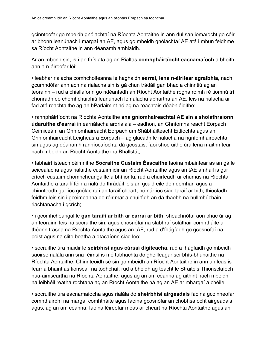gcinnteofar go mbeidh gnólachtaí na Ríochta Aontaithe in ann dul san iomaíocht go cóir ar bhonn leanúnach i margaí an AE, agus go mbeidh gnólachtaí AE atá i mbun feidhme sa Ríocht Aontaithe in ann déanamh amhlaidh.

Ar an mbonn sin, is í an fhís atá ag an Rialtas **comhpháirtíocht eacnamaíoch** a bheith ann a n-áireofar léi:

• leabhar rialacha comhchoiteanna le haghaidh **earraí, lena n-áirítear agraibhia**, nach gcumhdófar ann ach na rialacha sin is gá chun trádáil gan bhac a chinntiú ag an teorainn – rud a chiallaíonn go ndéanfadh an Ríocht Aontaithe rogha roimh ré tiomnú trí chonradh do chomhchuibhiú leanúnach le rialacha ábhartha an AE, leis na rialacha ar fad atá reachtaithe ag an bParlaimint nó ag na reachtais déabhlóidithe;

• rannpháirtíocht na Ríochta Aontaithe **sna gníomhaireachtaí AE sin a sholáthraíonn údaruithe d'earraí** in earnálacha ardrialála – eadhon, an Ghníomhaireacht Eorpach Ceimiceán, an Ghníomhaireacht Eorpach um Shábháilteacht Eitlíochta agus an Ghníomhaireacht Leigheasra Eorpach – ag glacadh le rialacha na ngníomhaireachtaí sin agus ag déanamh ranníocaíochta dá gcostais, faoi shocruithe úra lena n-aithnítear nach mbeidh an Ríocht Aontaithe ina Bhallstát;

• tabhairt isteach céimnithe **Socraithe Custaim Éascaithe** faoina mbainfear as an gá le seiceálacha agus rialuithe custaim idir an Ríocht Aontaithe agus an tAE amhail is gur críoch custaim chomhcheangailte a bhí iontu, rud a chuirfeadh ar chumas na Ríochta Aontaithe a taraifí féin a rialú do thrádáil leis an gcuid eile den domhan agus a chinnteodh gur íoc gnólachtaí an taraif cheart, nó nár íoc siad taraif ar bith; thiocfadh feidhm leis sin i gcéimeanna de réir mar a chuirfidh an dá thaobh na hullmhúcháin riachtanacha i gcrích;

• i gcomhcheangal le **gan taraifí ar bith ar earraí ar bith**, sheachnófaí aon bhac úr ag an teorainn leis na socruithe sin, agus chosnófaí na slabhraí soláthair comhtháite a théann trasna na Ríochta Aontaithe agus an tAE, rud a d'fhágfadh go gcosnófaí na poist agus na slite beatha a dtacaíonn siad leo;

• socruithe úra maidir le **seirbhísí agus cúrsaí digiteacha**, rud a fhágfaidh go mbeidh saoirse rialála ann sna réimsí is mó tábhachta do gheilleagar seirbhís-bhunaithe na Ríochta Aontaithe. Chinnteoidh sé sin go mbeidh an Ríocht Aontaithe in ann an leas is fearr a bhaint as tionscail na todhchaí, rud a bheidh ag teacht le Straitéis Thionsclaíoch nua-aimseartha na Ríochta Aontaithe, agus ag an am céanna ag aithint nach mbeidh na leibhéil reatha rochtana ag an Ríocht Aontaithe ná ag an AE ar mhargaí a chéile;

• socruithe úra eacnamaíocha agus rialála do **sheirbhísí airgeadais** faoina gcoinneofar comhthairbhí na margaí comhtháite agus faoina gcosnófar an chobhsaíocht airgeadais agus, ag an am céanna, faoina léireofar meas ar cheart na Ríochta Aontaithe agus an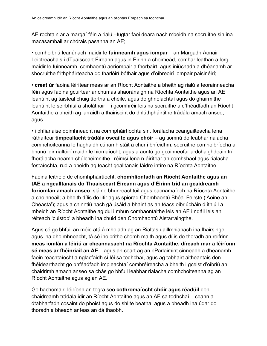AE rochtain ar a margaí féin a rialú –tugtar faoi deara nach mbeidh na socruithe sin ina macasamhail ar chórais pasanna an AE;

• comhoibriú leanúnach maidir le **fuinneamh agus iompar** – an Margadh Aonair Leictreachais i dTuaisceart Éireann agus in Éirinn a choimeád, comhar leathan a lorg maidir le fuinneamh, comhaontú aeriompair a fhorbairt, agus iniúchadh a dhéanamh ar shocruithe frithpháirteacha do tharlóirí bóthair agus d'oibreoirí iompair paisinéirí;

• **creat úr** faoina léirítear meas ar an Ríocht Aontaithe a bheith ag rialú a teorainneacha féin agus faoina gcuirtear ar chumas shaoránaigh na Ríochta Aontaithe agus an AE leanúint ag taisteal chuig tíortha a chéile, agus do ghnólachtaí agus do ghairmithe leanúint le seirbhísí a sholáthair – i gcomhréir leis na socruithe a d'fhéadfadh an Ríocht Aontaithe a bheith ag iarraidh a thairiscint do dhlúthpháirtithe trádála amach anseo; agus

• i bhfianaise doimhneacht na comhpháirtíochta sin, forálacha ceangailteacha lena ráthaítear **timpeallacht trádála oscailte agus chóir** – ag tiomnú do leabhar rialacha comhchoiteanna le haghaidh cúnamh stáit a chur i bhfeidhm, socruithe comhoibríocha a bhunú idir rialtóirí maidir le hiomaíocht, agus a aontú go gcoinneofar ardchaighdeáin trí fhorálacha neamh-chúlchéimnithe i réimsí lena n-áirítear an comhshaol agus rialacha fostaíochta, rud a bheidh ag teacht gealltanais láidre intíre na Ríochta Aontaithe.

Faoina leithéid de chomhpháirtíocht, **chomhlíonfadh an Ríocht Aontaithe agus an tAE a ngealltanais do Thuaisceart Éireann agus d'Éirinn tríd an gcaidreamh foriomlán amach anseo**: sláine bhunreachtúil agus eacnamaíoch na Ríochta Aontaithe a choinneáil; a bheith dílis do litir agus spiorad Chomhaontú Bhéal Feirste ('Aoine an Chéasta'); agus a chinntiú nach gá úsáid a bhaint as an téacs oibriúcháin dlíthiúil a mbeidh an Ríocht Aontaithe ag dul i mbun comhaontaithe leis an AE i ndáil leis an réiteach 'cúlstop' a bheadh ina chuid den Chomhaontú Aistarraingthe.

Agus cé go bhfuil an méid atá á mholadh ag an Rialtas uaillmhianach ina fhairsinge agus ina dhoimhneacht, tá sé inoibrithe chomh maith agus dílis do thoradh an reifrinn – **meas iomlán a léiriú ar cheannasacht na Ríochta Aontaithe, díreach mar a léiríonn sé meas ar fhéinriail an AE** – agus an ceart ag an bParlaimint cinneadh a dhéanamh faoin reachtaíocht a nglacfaidh sí léi sa todhchaí, agus ag tabhairt aitheantais don fhéidearthacht go bhféadfadh impleachtaí comhréireacha a bheith i gceist d'oibriú an chaidrimh amach anseo sa chás go bhfuil leabhar rialacha comhchoiteanna ag an Ríocht Aontaithe agus ag an AE.

Go hachomair, léiríonn an togra seo **cothromaíocht chóir agus réadúil** don chaidreamh trádála idir an Ríocht Aontaithe agus an AE sa todhchaí – ceann a dtabharfadh cosaint do phoist agus do shlite beatha, agus a bheadh ina údar do thoradh a bheadh ar leas an dá thaobh.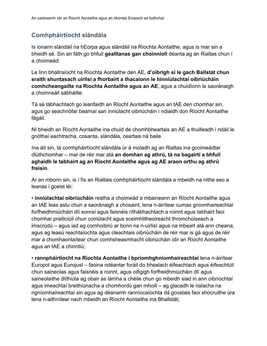#### **Comhpháirtíocht slándála**

Is ionann slándáil na hEorpa agus slándáil na Ríochta Aontaithe, agus is mar sin a bheidh sé. Sin an fáth go bhfuil **gealltanas gan choinníoll** déanta ag an Rialtas chun í a choimeád.

Le linn bhallraíocht na Ríochta Aontaithe den AE, **d'oibrigh sí le gach Ballstát chun sraith shuntasach uirlisí a fhorbairt a thacaíonn le hinniúlachtaí oibriúcháin comhcheangailte na Ríochta Aontaithe agus an AE**, agus a chuidíonn le saoránaigh a choinneáil sábháilte.

Tá sé tábhachtach go leanfaidh an Ríocht Aontaithe agus an tAE den chomhar sin, agus go seachnófar bearnaí san inniúlacht oibriúcháin i ndiaidh don Ríocht Aontaithe fágáil.

Ní bheidh an Ríocht Aontaithe ina chuid de chomhbheartais an AE a thuilleadh i ndáil le gnóthaí eachtracha, cosanta, slándála, ceartais ná baile.

Ina áit sin, tá comhpháirtíocht slándála úr á moladh ag an Rialtas ina gcoimeádtar dlúthchomhar – mar de réir mar atá **an domhan ag athrú, tá na bagairtí a bhfuil aghaidh le tabhairt ag an Ríocht Aontaithe agus ag AE araon orthu ag athrú freisin**.

Ar an mbonn sin, is í fís an Rialtais comhpháirtíocht slándála a mbeidh na nithe seo a leanas i gceist léi:

• **inniúlachtaí oibriúcháin** reatha a choimeád a mbaineann an Ríocht Aontaithe agus an tAE leas astu chun a saoránaigh a chosaint, lena n-áirítear cumas gníomhaireachtaí forfheidhmiúcháin dlí sonraí agus faisnéis ríthábhachtach a roinnt agus tabhairt faoi chomhar praiticiúil chun coiriúlacht agus sceimhlitheoireacht thromchúiseach a imscrúdú – agus iad ag comhoibriú ar bonn na n-uirlisí agus na mbeart atá ann cheana, agus ag leasú reachtaíochta agus cleachtais oibriúcháin de réir mar is gá agus de réir mar a chomhaontaítear chun comhsheasmhacht oibriúcháin idir an Ríocht Aontaithe agus an tAE a chinntiú;

• **rannpháirtíocht na Ríochta Aontaithe i bpríomhghníomhaireachtaí** lena n-áirítear Europol agus Eurojust – faoina ndéantar foráil do bhealach éifeachtach agus éifeachtúil chun saineolas agus faisnéis a roinnt, agus oifigigh forfheidhmiúcháin dlí agus saineolaithe dlíthiúla ag obair as lámha a chéile chun go mbeidh siad in ann oibríochtaí agus imeachtaí breithiúnacha a chomhordú gan mhoill – ag glacadh le rialacha na ngníomhaireachtaí sin agus ag déanamh ranníocaíochta dá gcostais faoi shocruithe úra lena n-aithnítear nach mbeidh an Ríocht Aontaithe ina Bhallstát;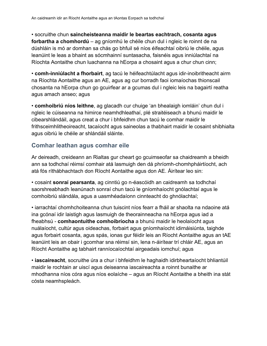• socruithe chun **saincheisteanna maidir le beartas eachtrach, cosanta agus forbartha a chomhordú** – ag gníomhú le chéile chun dul i ngleic le roinnt de na dúshláin is mó ar domhan sa chás go bhfuil sé níos éifeachtaí oibriú le chéile, agus leanúint le leas a bhaint as sócmhainní suntasacha, faisnéis agus inniúlachtaí na Ríochta Aontaithe chun luachanna na hEorpa a chosaint agus a chur chun cinn;

• **comh-inniúlacht a fhorbairt**, ag tacú le héifeachtúlacht agus idir-inoibritheacht airm na Ríochta Aontaithe agus an AE, agus ag cur borradh faoi iomaíochas thionscail chosanta na hEorpa chun go gcuirfear ar a gcumas dul i ngleic leis na bagairtí reatha agus amach anseo; agus

• **comhoibriú níos leithne**, ag glacadh cur chuige 'an bhealaigh iomláin' chun dul i ngleic le cúiseanna na himirce neamhdhleathaí, plé straitéiseach a bhunú maidir le cibearshlándáil, agus creat a chur i bhfeidhm chun tacú le comhar maidir le frithsceimhlitheoireacht, tacaíocht agus saineolas a thabhairt maidir le cosaint shibhialta agus oibriú le chéile ar shlándáil sláinte.

#### **Comhar leathan agus comhar eile**

Ar deireadh, creideann an Rialtas gur cheart go gcuimseofar sa chaidreamh a bheidh ann sa todhchaí réimsí comhair atá lasmuigh den dá phríomh-chomhpháirtíocht, ach atá fós ríthábhachtach don Ríocht Aontaithe agus don AE. Áirítear leo sin:

• cosaint **sonraí pearsanta**, ag cinntiú go n-éascóidh an caidreamh sa todhchaí saorshreabhadh leanúnach sonraí chun tacú le gníomhaíocht gnólachtaí agus le comhoibriú slándála, agus a uasmhéadaíonn cinnteacht do ghnólachtaí;

• iarrachtaí chomhchoiteanna chun tuiscint níos fearr a fháil ar shaolta na ndaoine atá ina gcónaí idir laistigh agus lasmuigh de theorainneacha na hEorpa agus iad a fheabhsú - **comhaontuithe comhoibríocha** a bhunú maidir le heolaíocht agus nuálaíocht, cultúr agus oideachas, forbairt agus gníomhaíocht idirnáisiúnta, taighde agus forbairt cosanta, agus spás, ionas gur féidir leis an Ríocht Aontaithe agus an tAE leanúint leis an obair i gcomhar sna réimsí sin, lena n-áirítear trí chláir AE, agus an Ríocht Aontaithe ag tabhairt ranníocaíochtaí airgeadais iomchuí; agus

• **iascaireacht**, socruithe úra a chur i bhfeidhm le haghaidh idirbheartaíocht bhliantúil maidir le rochtain ar uiscí agus deiseanna iascaireachta a roinnt bunaithe ar mhodhanna níos córa agus níos eolaíche – agus an Ríocht Aontaithe a bheith ina stát cósta neamhspleách.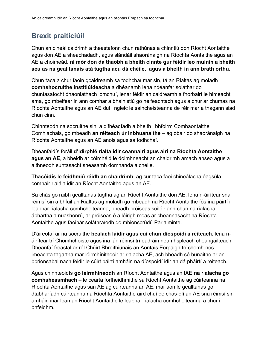# **Brexit praiticiúil**

Chun an cineál caidrimh a theastaíonn chun rathúnas a chinntiú don Ríocht Aontaithe agus don AE a sheachadadh, agus slándáil shaoránaigh na Ríochta Aontaithe agus an AE a choimeád, **ní mór don dá thaobh a bheith cinnte gur féidir leo muinín a bheith acu as na gealltanais atá tugtha acu dá chéile, agus a bheith in ann brath orthu**.

Chun taca a chur faoin gcaidreamh sa todhchaí mar sin, tá an Rialtas ag moladh **comhshocruithe institiúideacha** a dhéanamh lena ndéanfar soláthar do chuntasaíocht dhaonlathach iomchuí, lenar féidir an caidreamh a fhorbairt le himeacht ama, go mbeifear in ann comhar a bhainistiú go héifeachtach agus a chur ar chumas na Ríochta Aontaithe agus an AE dul i ngleic le saincheisteanna de réir mar a thagann siad chun cinn.

Chinnteodh na socruithe sin, a d'fhéadfadh a bheith i bhfoirm Comhaontaithe Comhlachais, go mbeadh **an réiteach úr inbhuanaithe** – ag obair do shaoránaigh na Ríochta Aontaithe agus an AE anois agus sa todhchaí.

Dhéanfaidís foráil **d'idirphlé rialta idir ceannairí agus airí na Ríochta Aontaithe agus an AE**, a bheidh ar cóimhéid le doimhneacht an chaidrimh amach anseo agus a aithneodh suntasacht sheasamh domhanda a chéile.

**Thacóidís le feidhmiú réidh an chaidrimh**, ag cur taca faoi chineálacha éagsúla comhair rialála idir an Ríocht Aontaithe agus an AE.

Sa chás go raibh gealltanas tugtha ag an Ríocht Aontaithe don AE, lena n-áirítear sna réimsí sin a bhfuil an Rialtas ag moladh go mbeadh na Ríocht Aontaithe fós ina páirtí i leabhar rialacha comhchoiteanna, bheadh próiseas soiléir ann chun na rialacha ábhartha a nuashonrú, ar próiseas é a léirigh meas ar cheannasacht na Ríochta Aontaithe agus faoinár soláthraíodh do mhionscrúdú Parlaiminte.

D'áireofaí ar na socruithe **bealach láidir agus cuí chun díospóidí a réiteach**, lena náirítear trí Chomhchoiste agus ina lán réimsí trí eadráin neamhspleách cheangailteach. Dhéanfaí freastal ar ról Chúirt Bhreithiúnais an Aontais Eorpaigh trí chomh-nós imeachta tagartha mar léirmhínitheoir ar rialacha AE, ach bheadh sé bunaithe ar an bprionsabal nach féidir le cúirt páirtí amháin na díospóidí idir an dá pháirtí a réiteach.

Agus chinnteoidís **go léirmhíneodh** an Ríocht Aontaithe agus an tAE **na rialacha go comhsheasmhach** – le cearta forfheidhmithe sa Ríocht Aontaithe ag cúirteanna na Ríochta Aontaithe agus san AE ag cúirteanna an AE, mar aon le gealltanas go dtabharfadh cúirteanna na Ríochta Aontaithe aird chuí do chás-dlí an AE sna réimsí sin amháin inar lean an Ríocht Aontaithe le leabhar rialacha comhchoiteanna a chur i bhfeidhm.